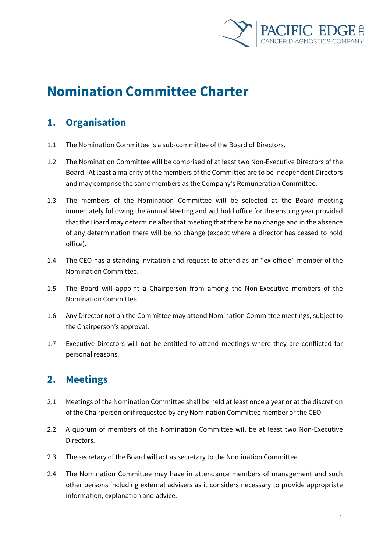

# **Nomination Committee Charter**

### **1. Organisation**

- 1.1 The Nomination Committee is a sub-committee of the Board of Directors.
- 1.2 The Nomination Committee will be comprised of at least two Non-Executive Directors of the Board. At least a majority of the members of the Committee are to be Independent Directors and may comprise the same members as the Company's Remuneration Committee.
- 1.3 The members of the Nomination Committee will be selected at the Board meeting immediately following the Annual Meeting and will hold office for the ensuing year provided that the Board may determine after that meeting that there be no change and in the absence of any determination there will be no change (except where a director has ceased to hold office).
- 1.4 The CEO has a standing invitation and request to attend as an "ex officio" member of the Nomination Committee.
- 1.5 The Board will appoint a Chairperson from among the Non-Executive members of the Nomination Committee.
- 1.6 Any Director not on the Committee may attend Nomination Committee meetings, subject to the Chairperson's approval.
- 1.7 Executive Directors will not be entitled to attend meetings where they are conflicted for personal reasons.

## **2. Meetings**

- 2.1 Meetings of the Nomination Committee shall be held at least once a year or at the discretion of the Chairperson or if requested by any Nomination Committee member or the CEO.
- 2.2 A quorum of members of the Nomination Committee will be at least two Non-Executive Directors.
- 2.3 The secretary of the Board will act as secretary to the Nomination Committee.
- 2.4 The Nomination Committee may have in attendance members of management and such other persons including external advisers as it considers necessary to provide appropriate information, explanation and advice.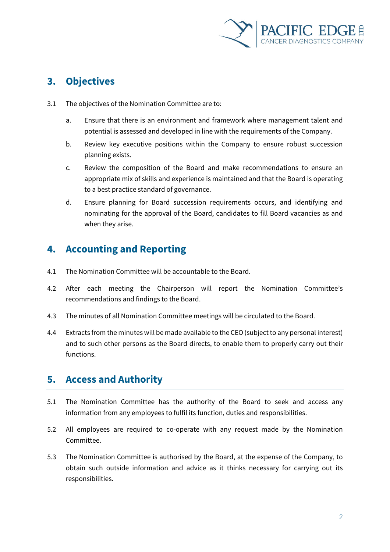

# **3. Objectives**

- 3.1 The objectives of the Nomination Committee are to:
	- a. Ensure that there is an environment and framework where management talent and potential is assessed and developed in line with the requirements of the Company.
	- b. Review key executive positions within the Company to ensure robust succession planning exists.
	- c. Review the composition of the Board and make recommendations to ensure an appropriate mix of skills and experience is maintained and that the Board is operating to a best practice standard of governance.
	- d. Ensure planning for Board succession requirements occurs, and identifying and nominating for the approval of the Board, candidates to fill Board vacancies as and when they arise.

# **4. Accounting and Reporting**

- 4.1 The Nomination Committee will be accountable to the Board.
- 4.2 After each meeting the Chairperson will report the Nomination Committee's recommendations and findings to the Board.
- 4.3 The minutes of all Nomination Committee meetings will be circulated to the Board.
- 4.4 Extracts from the minutes will be made available to the CEO (subject to any personal interest) and to such other persons as the Board directs, to enable them to properly carry out their functions.

#### **5. Access and Authority**

- 5.1 The Nomination Committee has the authority of the Board to seek and access any information from any employees to fulfil its function, duties and responsibilities.
- 5.2 All employees are required to co-operate with any request made by the Nomination Committee.
- 5.3 The Nomination Committee is authorised by the Board, at the expense of the Company, to obtain such outside information and advice as it thinks necessary for carrying out its responsibilities.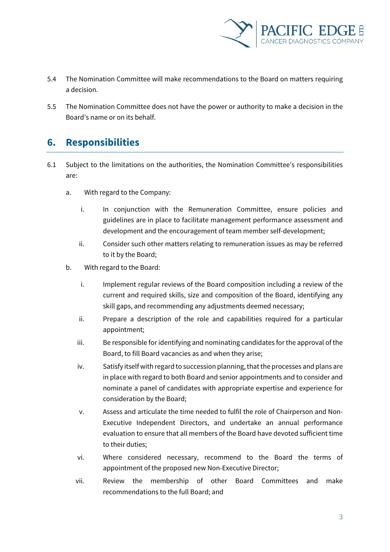

- 5.4 The Nomination Committee will make recommendations to the Board on matters requiring a decision.
- 5.5 The Nomination Committee does not have the power or authority to make a decision in the Board's name or on its behalf.

#### **6. Responsibilities**

- 6.1 Subject to the limitations on the authorities, the Nomination Committee's responsibilities are:
	- a. With regard to the Company:
		- i. In conjunction with the Remuneration Committee, ensure policies and guidelines are in place to facilitate management performance assessment and development and the encouragement of team member self-development;
		- ii. Consider such other matters relating to remuneration issues as may be referred to it by the Board;
	- b. With regard to the Board:
		- i. Implement regular reviews of the Board composition including a review of the current and required skills, size and composition of the Board, identifying any skill gaps, and recommending any adjustments deemed necessary;
		- ii. Prepare a description of the role and capabilities required for a particular appointment;
		- iii. Be responsible for identifying and nominating candidates for the approval of the Board, to fill Board vacancies as and when they arise;
		- iv. Satisfy itself with regard to succession planning, that the processes and plans are in place with regard to both Board and senior appointments and to consider and nominate a panel of candidates with appropriate expertise and experience for consideration by the Board;
		- v. Assess and articulate the time needed to fulfil the role of Chairperson and Non-Executive Independent Directors, and undertake an annual performance evaluation to ensure that all members of the Board have devoted sufficient time to their duties;
		- vi. Where considered necessary, recommend to the Board the terms of appointment of the proposed new Non-Executive Director;
		- vii. Review the membership of other Board Committees and make recommendations to the full Board; and